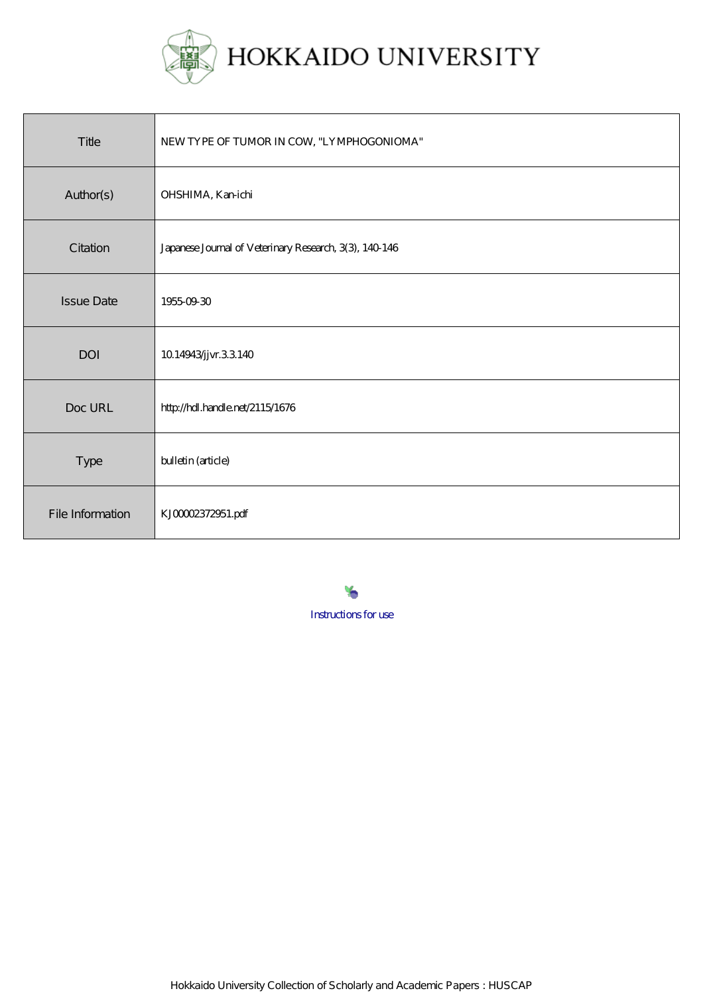

| Title             | NEWTYPE OF TUMOR IN COW, "LYMPHOGONIOMA"               |
|-------------------|--------------------------------------------------------|
| Author(s)         | OHSHIMA, Kanichi                                       |
| Citation          | Japanese Journal of Veterinary Research, 3(3), 140 146 |
| <b>Issue Date</b> | 19550930                                               |
| DOI               | 10.14943/jvr.33.140                                    |
| Doc URL           | http://hdl.handle.net/2115/1676                        |
| Type              | bulletin (article)                                     |
| File Information  | KJ00002372951.pdf                                      |

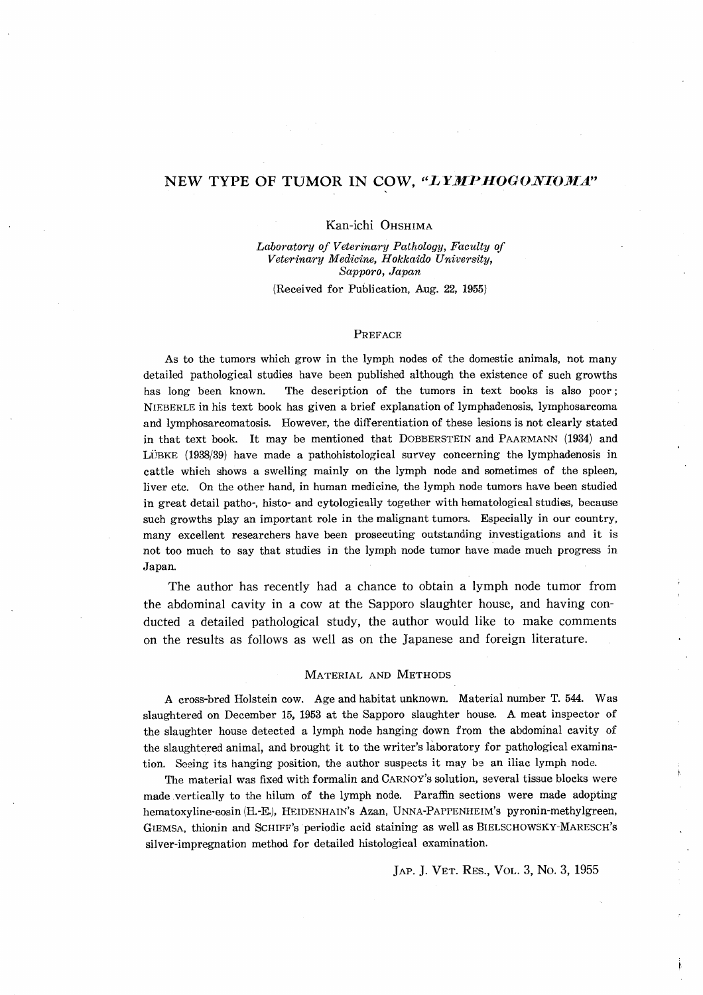# NEW TYPE OF TUMOR IN COW, "LYMPHOGONIOMA"

# Kan-ichi OHSHIMA

*Labm'atory of Veterinary Pathology, Faculty of Veterinary Medic'ine, Hokkaido University, Sapporo, Japan* 

(Received for Publication, Aug. 22, 1955)

### PREFACE

As to the tumors which grow in the lymph nodes of the domestic animals, not many detailed pathological studies have been published although the existence of such growths has long heen known. The description of the tumors in text books is also poor; NIEBERLE in his text book has given a brief explanation of lymphadenosis, lymphosarcoma and lymphosarcomatosis. However, the differentiation of these lesions is not clearly stated in that text book. It may be mentioned that DOBBERSTEIN and PAARMANN (1934) and LÜBKE (1938/39) have made a pathohistological survey concerning the lymphadenosis in cattle which shows a swelling mainly on the lymph node and sometimes of the spleen, liver etc. On the other hand, in human medicine, the lymph node tumors have been studied in great detail patho-, histo- and cytologically together with hematological studies, because such growths play an important role in the malignant tumors. Especially in our country, many excellent researchers have been prosecuting outstanding investigations and it is not too much to say that studies in the lymph node tumor have made much progress in Japan.

The author has recently had a chance to obtain a lymph node tumor from the abdominal cavity in a cow at the Sapporo slaughter house, and having conducted a detailed pathological study, the author would like to make comments on the results as follows as well as on the Japanese and foreign literature.

#### MATERIAL AND METHODS

A cross-bred Holstein cow. Age and habitat unknown. Material number T. 544. Was slaughtered on December 15, 1953 at the Sapporo slaughter house. A meat inspector of the slaughter house detected a lymph node hanging down from the abdominal cavity of the slaughtered animal, and brought it to the writer's laboratory for pathological examination. Seeing its hanging position, the author suspects it may be an iliac lymph node.

The material was fixed with formalin and CARNOY'S solution, several tissue blocks were made vertically to the hilum of the lymph node. Paraffin sections were made adopting hematoxyline·eosin (H.-E.), HEIDENHAIN'S Azan, UNNA-PAPPENHEIM's pyronin-methylgreen, GlEMSA, thionin and SCHIFF's periodic acid staining as well as BIELSCHOWSKY"·MARESCH'S silver-impregnation method for detailed histological examination.

JAP. J. VET. RES., VOL. 3, No. 3, 1955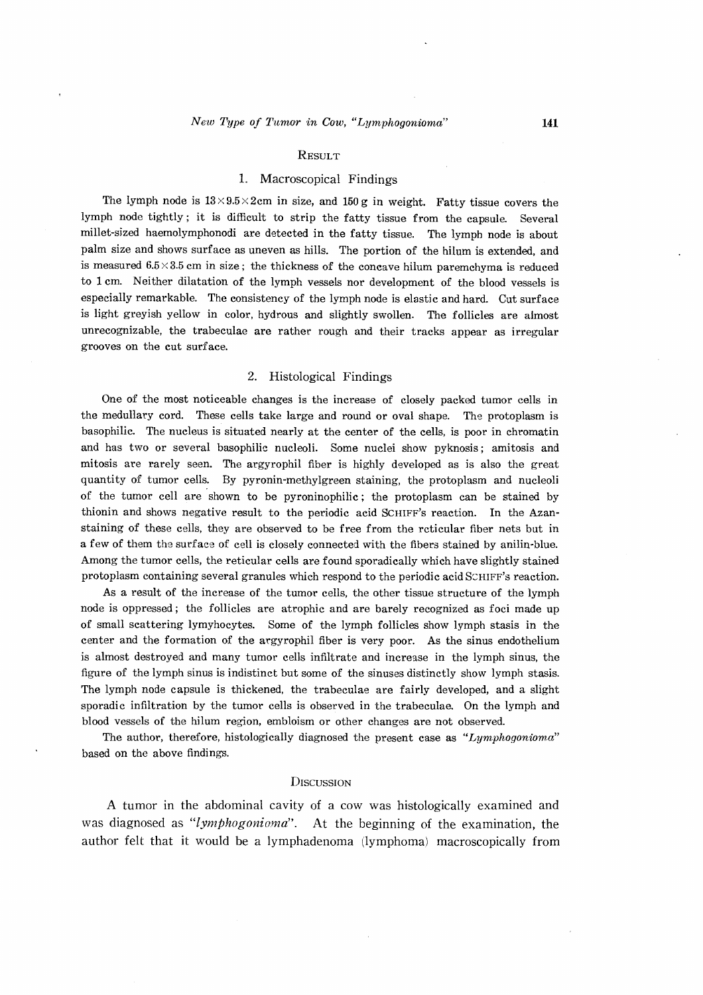#### **RESULT**

# 1. Macroscopical Findings

The lymph node is  $13 \times 9.5 \times 2$ cm in size, and 150 g in weight. Fatty tissue covers the lymph node tightly; it is difficult to strip the fatty tissue from the capsule. Several millet-sized haemolymphonodi are detected in the fatty tissue. The lymph node is about palm size and shows surface as uneven as hills. The portion of the hilum is extended, and is measured  $6.5 \times 3.5$  cm in size; the thickness of the concave hilum paremchyma is reduced to 1 ern. Neither dilatation of the lymph vessels nor development of the blood vessels is especially remarkable. The consistency of the lymph node is elastic and hard. Cut surface is light greyish yellow in color, hydrous and slightly swollen. The follicles are almost unrecognizable, the trabeculae are rather rough and their tracks appear as irregular grooves on the cut surface.

# 2. Histological Findings

One of the most noticeable changes is the increase of closely packed tumor cells in the medullary cord. These cells take large and round or oval shape. The protoplasm is basophilic. The nucleus is situated nearly at the center of the cells, is poor in chromatin and has two or several basophilic nucleoli. Some nuclei show pyknosis; amitosis and mitosis are rarely seen. The argyrophil fiber is highly developed as is also the great quantity of tumor cells. By pyronin-methylgreen staining, the protoplasm and nucleoli of the tumor cell are shown to be pyroninophilic; the protoplasm can be stained by thionin and shows negative result to the periodic acid SCHIFF'S reaction. In the Azanstaining of these cells, they are observed to be free from the reticular fiber nets but in a few of them the surface of cell is closely connected with the fibers stained by anilin-blue. Among the tumor cells, the reticular cells are found sporadically which have slightly stained protoplasm containing several granules which respond to the periodic acid SCHIFF's reaction.

As a result of the increase of the tumor cells, the other tissue structure of the lymph node is oppressed; the follicles are atrophic and are barely recognized as foci made up of small scattering lymyhocytes. Some of the lymph follicles show lymph stasis in the center and the formation of the argyrophil fiber is very poor. As the sinus endothelium is almost destroyed and many tumor cells infiltrate and increase in the lymph sinus, the figure of the lymph sinus is indistinct but some of the sinuses distinctly show lymph stasis. The lymph node capsule is thickened, the trabeculae are fairly developed, and a slight sporadic infiltration by the tumor cells is observed in the trabeculae. On the lymph and blood vessels of the hilum region, embloism or other changes are not observed.

The author, therefore, histologically diagnosed the present case as *"Lymphogonioma"*  based on the above findings.

### **DISCUSSION**

A tumor in the abdominal cavity of a cow was histologically examined and was diagnosed as *"lymphogonioma".* At the beginning of the examination, the author felt that it would be a lymphadenoma (lymphoma) macroscopically from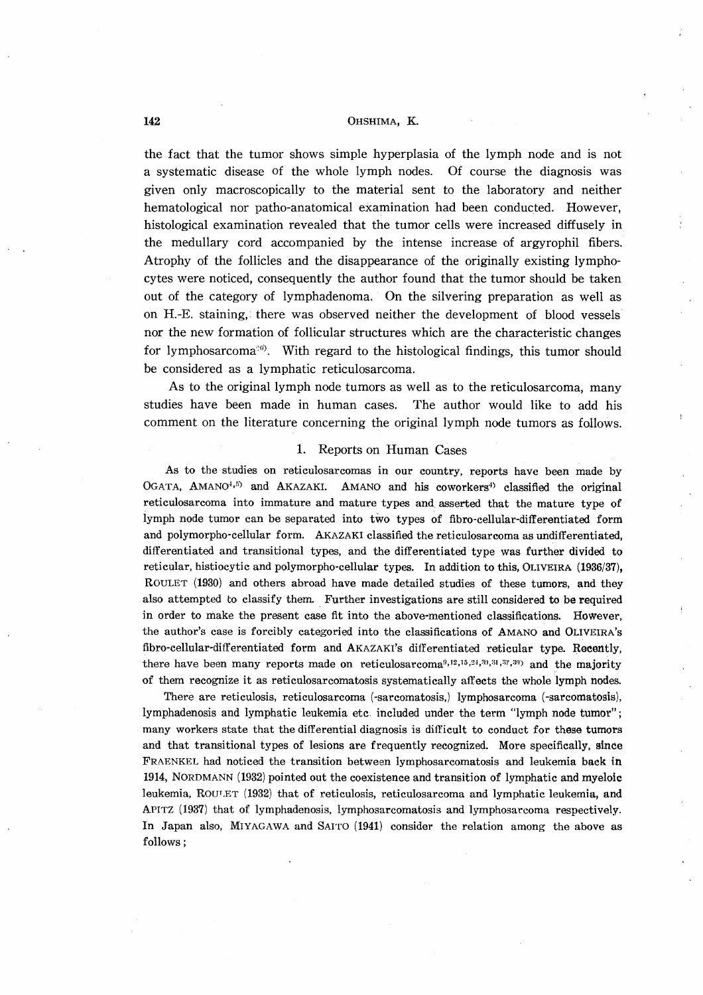### **142** OHSHIMA, K.

the fact that the tumor shows simple hyperplasia of the lymph node and is not a systematic disease of the whole lymph nodes. Of course the diagnosis was given only macroscopically to the material sent to the laboratory and neither hematological nor patho-anatomical examination had been conducted. However, histological examination revealed that the tumor cells were increased diffusely in the medullary cord accompanied by the intense increase of argyrophil fibers. Atrophy of the follicles and the disappearance of the originally existing lymphocytes were noticed, consequently the author found that the tumor should be taken out of the category of lymphadenoma. On the silvering preparation as well as on H.-E. staining, there was observed neither the development of blood vessels nor the new formation of follicular structures which are the characteristic changes for lymphosarcoma<sup>o</sup>. With regard to the histological findings, this tumor should be considered as a lymphatic reticulosarcoma.

As to the original lymph node tumors as well as to the reticulosarcoma, many studies have been made in human cases. The author would like to add his comment on the literature concerning the original lymph node tumors as follows.

#### 1. Reports on Human Cases

As to the studies on reticulosarcomas in our country, reports have been made by OGATA, AMANO<sup>4,5)</sup> and AKAZAKI. AMANO and his coworkers<sup>4)</sup> classified the original reticulosarcoma into immature and mature types and, asserted that the mature type of lymph node tumor can be separated into two types of fibro-cellular-differentiated form and polymorpho-cellular form. AKAZAKI classified the reticulosarcoma as undifferentiated, differentiated and transitional types, and the differentiated type was further divided to reticular, histiocytic and polymorpho-cellular types. In addition to this, OLIVEIRA (1936/37), ROULET (1930) and others abroad have made detailed studies of these tumors, and they also attempted to classify them. Further investigations are still considered to be required in order to make the present case fit into the above-mentioned classifications. However, the author's case is forcibly categoried into the classifications of AMANO and OLIVEIRA'S fibro-cellular-differentiated form and AKAZAKI'S differentiated reticular type. Recently, there have been many reports made on reticulosarcoma<sup>9,12,15,24,39,31,37,39</sup>) and the majority of them recognize it as reticulosarcomatosis systematically affects the whole lymph nodes.

There are reticulosis, reticulosarcoma (-sarcomatosis,) lymphosarcoma (-sarcomatosis), lymphadenosis and lymphatic leukemia etc included under the term "lymph node tumor"; many workers state that the differential diagnosis is difficult to conduct for these tumors and that transitional types of lesions are frequently recognized. More specifically, since FR.A.ENKEL had noticed the transition between lymphosarcomatosis and leukemia back **in**  1914, NORDMANN (1932) pointed out the coexistence and transition of lymphatic and myeloic leukemia, ROULET (1932) that of reticulosis, reticulosarcoma and lymphatic leukemia, and APITZ (1937) that of lymphadenosis, lymphosarcomatosis and lymphosarcoma respectively. In Japan also, MIYAGAWA and SAITO (1941) consider the relation among the above as follows;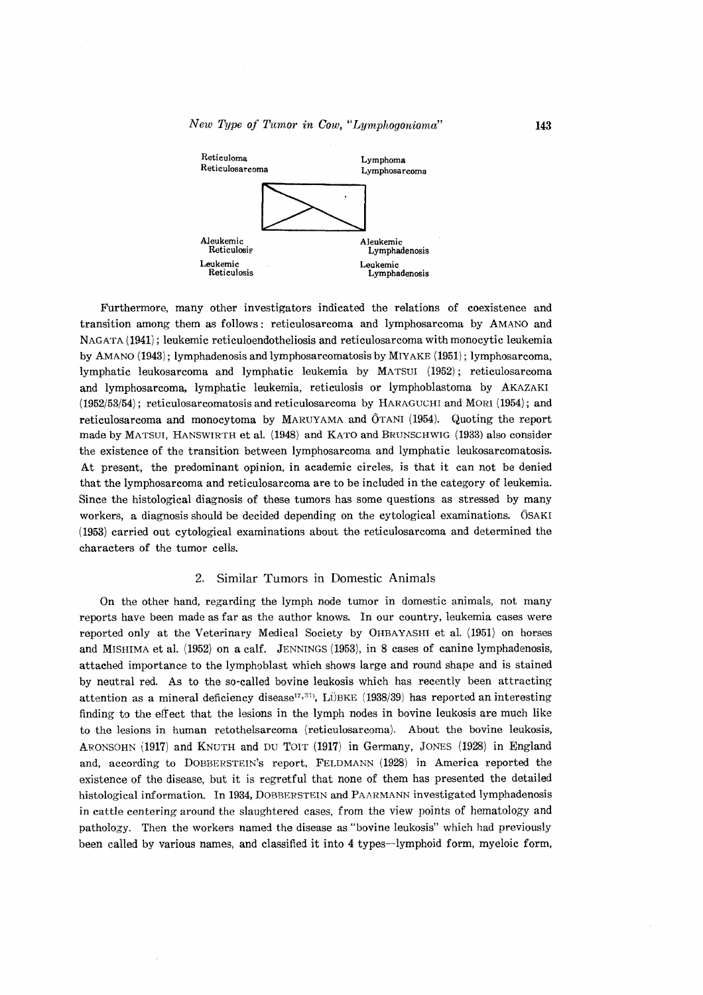

Furthermore, many other investigators indicated the relations of coexistence and transition among them as follows: reticulosarcoma and lymphosarcoma by AMANO and NAGATA (1941); leukemic reticuloendotheliosis and reticulosarcoma with monocytic leukemia by AMANO (1943); lymphadenosis and lymphosarcomatosis by MIYAKE (1951); lymphosarcoma, lymphatic leukosarcoma and lymphatic leukemia by MATSUI (1952); reticulosarcoma and lymphosarcoma, lymphatic leukemia, reticulosis or lymphoblastoma by AKAZAKI (1952/53/54); reticulosarcomatosis and reticulosarcoma by HAR.AGUCHI and MORl (1954); and reticulosarcoma and monocytoma by MARUYAMA and  $\hat{O}$ TANI (1954). Quoting the report made by MATSUI, HANSWIRTH et al. (1948) and KATO and BRUNSCHWIG (1933) also consider the existence of the transition between lymphosarcoma and lymphatic leukosarcomatosis. At present, the predominant opinion, in academic circles, is that it can not be denied that the lymphosarcoma and reticulosarcoma are to be included in the category of leukemia. Since the histological diagnosis of these tumors has some questions as stressed by many workers, a diagnosis should be decided depending on the cytological examinations.  $\hat{O}SAKI$ (1953) carried out cytological examinations about the reticulosarcoma and determined the characters of the tumor cells.

# 2. Similar Tumors in Domestic Animals

On the other hand, regarding the lymph node tumor in domestic animals, not many reports have been made as far as the author knows. In our country, leukemia cases were reported only at the Veterinary Medical Society by OHBAYASHl et a1. (1951) on horses and MrsHlMA et al. (1952) on a calf. JENNINGS (1953), in 8 cases of canine lymphadenosis, attached importance to the lymphoblast which shows large and round shape and is stained by neutral red. As to the so-called bovine leukosis which has recently been attracting attention as a mineral deficiency disease<sup>17,33</sup>), LÜBKE (1938/39) has reported an interesting finding to the effect that the lesions in the lymph nodes in bovine leukosis are much like to the lesions in human retothelsarcoma (reticulosarcoma). About the bovine leukosis, ARONSOHN (1917) and KNUTH and DU TOIT (1917) in Germany, JONES (1928) in England and, according to DOBBERSTEIN's report, FELDMANN (1928) in America reported the existence of the disease, but it is regretful that none of them has presented the detailed histological information. In 1934, DOBBERSTEIN and PAARMANN investigated lymphadenosis in cattle centering around the slaughtered cases, from the view points of hematology and pathology. Then the workers named the disease as "bovine leukosis" which had previously been called by various names, and classified it into 4 types-lymphoid form, myeloic form,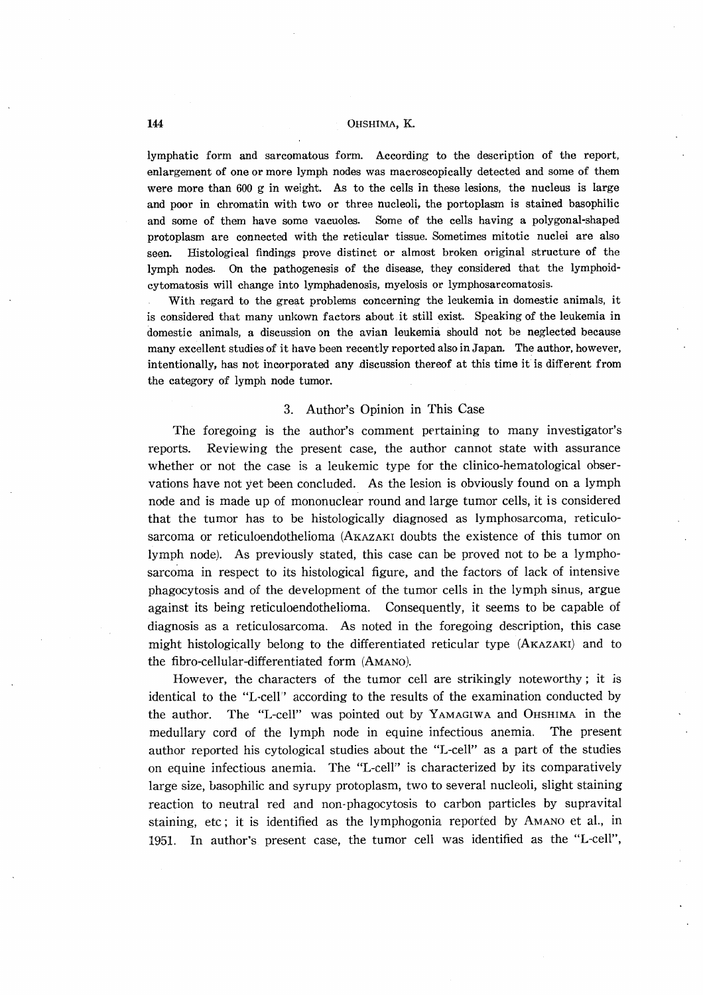# **144 OHSHIMA, K.**

lymphatic form and sarcomatous form. According to the description of the report, enlargement of one or more lymph nodes was macroscopically detected and some of them were more than 600 g in weight. As to the cells in these lesions, the nucleus is large and poor in chromatin with two or three nucleoli, the portoplasm is stained basophilic and some of them have some vacuoles. Some of the cells having a polygonal-shaped protoplasm are connected with the reticular tissue. Sometimes mitotic nuclei are also seen. Histological findings prove distinct or almost broken original structure of the lymph nodes. On the pathogenesis of the disease, they considered that the lymphoidcytomatosis will change into lymphadenosis, myelosis or lymphosarcomatosis.

With regard to the great problems concerning the leukemia in domestic animals, it is considered that many unkown factors about.it still exist. Speaking of the leukemia in domestic animals, a discussion on the avian leukemia should not be neglected because many excellent studies of it have been recently reported also in Japan. The author, however, intentionally, has not incorporated any discussion thereof at this time it is different from the category of lymph node tumor.

# 3. Author's Opinion in This Case

The foregoing is the author's comment pertaining to many investigator's reports. Reviewing the present case, the author cannot state with assurance whether or not the case is a leukemic type for the clinico-hematological observations have not yet been concluded. As the lesion is obviously found on a lymph node and is made up of mononuclear round and large tumor cells, it is considered that the tumor has to be histologically diagnosed as lymphosarcoma, reticulosarcoma or reticuloendothelioma (AKAZAKI doubts the existence of this tumor on lymph node). As previously stated, this case can be proved not to be a lymphosarcoma in respect to its histological figure, and the factors of lack of intensive phagocytosis and of the development of the tumor cells in the lymph sinus, argue against its being reticuloendothelioma. Consequently, it seems to be capable of diagnosis as a reticulosarcoma. As noted in the foregoing description, this case might histologically belong to the differentiated reticular type (AKAZAKI) and to the fibro-cellular-differentiated form (AMANO).

However, the characters of the tumor cell are strikingly noteworthy; it is identical to the "L~cell" according to the results of the examination conducted by the author. The "L-cell" was pointed out by YAMAGIWA and OHSHIMA in the medullary cord of the lymph node in equine infectious anemia. The present author reported his cytological studies about the "L-cell" as a part of the studies on equine infectious anemia. The "L-ceIF' is characterized by its comparatively large size, basophilic and syrupy protoplasm, two to several nucleoli, slight staining reaction to neutral red and non-phagocytosis to carbon particles by supravital staining, etc; it is identified as the lymphogonia reported by AMANO et al., in 1951. In author's present case, the tumor cell was identified as the "L-cell",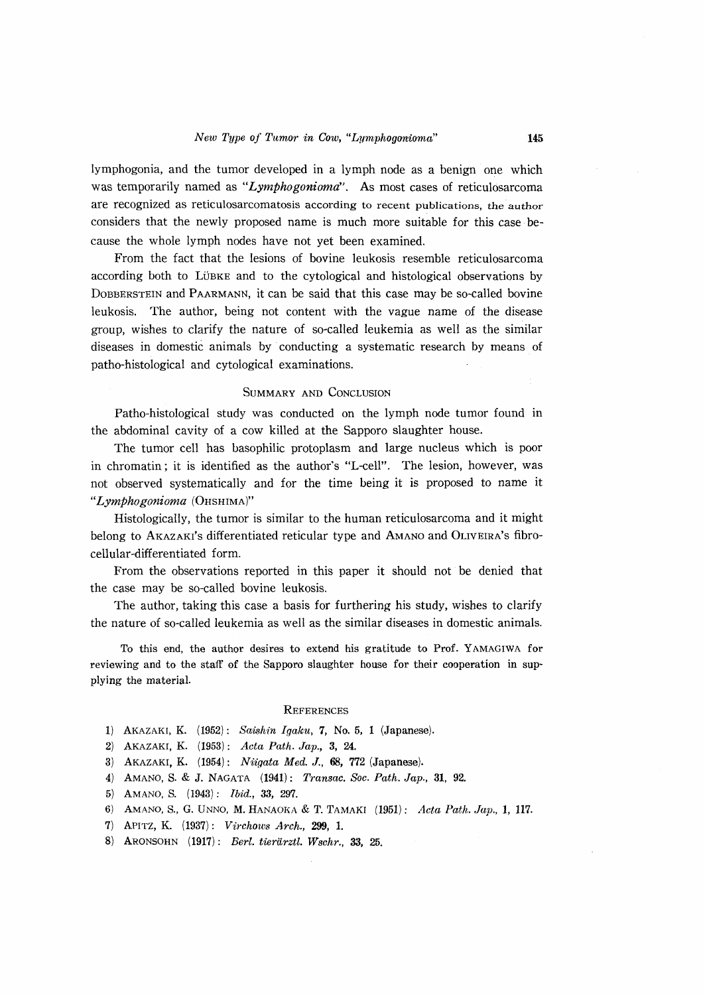lymphogonia, and the tumor developed in a lymph node as a benign one which was temporarily named as *"Lymphogonioma".* As most cases of reticulosarcoma are recognized as reticulosarcomatosis according to recent publications, the author considers that the newly proposed name is much more suitable for this case because the whole lymph nodes have not yet been examined.

From the fact that the lesions of bovine leukosis resemble reticulosarcoma according both to LÜBKE and to the cytological and histological observations by DOBBERSTEIN and PAARMANN, it can be said that this case may be so-called bovine leukosis. The author, being not content with the vague name of the disease group, wishes to clarify the nature of so-called leukemia as well as the similar diseases in domestic animals by conducting a systematic research by means of patho-histological and cytological examinations.

#### SUMMARY AND CONCLUSION

Patho-histological study was conducted on the lymph node tumor found in the abdominal cavity of a cow killed at the Sapporo slaughter house.

The tumor cell has basophilic protoplasm and large nucleus which is poor in chromatin; it is identified as the author's "L-cell". The lesion, however, was not observed systematically and for the time being it is proposed to name it *"Lymphogonioma* (OHSHIMA)"

Histologically, the tumor is similar to the human reticulosarcoma and it might belong to AKAZAKI'S differentiated reticular type and AMANO and OLIVEIRA'S fibrocellular-differentiated form.

From the observations reported in this paper it should not be denied that the case may be so-called bovine leukosis.

The author, taking this case a basis for furthering his study, wishes to clarify the nature of so-called leukemia as well as the similar diseases in domestic animals.

To this end, the author desires to extend his gratitude to Prof. YAMAGIWA for reviewing and to the staff of the Sapporo slaughter house for their cooperation in supplying the material.

#### **REFERENCES**

- 1) AKAZAKI, K. (1952): *Saishin Igaku,* 7, No.6, 1 (Japanese).
- 2) AKAZAKI, K. (1953): *Acta Path. Jap.,* 3, 24.
- 3) AKAZAKI, K. (1954): *Niigata Med.* J., 68, 772 (Japanese).
- 4) AMANO, S. & J. NAGATA (1941): *Transac. Soc. Path. Jap.,* 31, 92.
- 5) AMANO, S. (1943): *Ibid.,* 33, 297.
- 6) AMANO, S., G. UNNO, M. HANAOKA & T. TAMAKI (1951): *Acta Path. Jap.,* 1, 117.
- 7) APlTZ, K. (1937): *Vi'rcho'ws Arch.,* 299, 1.
- 8) ARONSOHN (1917): *Berl. tierarztl. Wschr.,* 33, 25.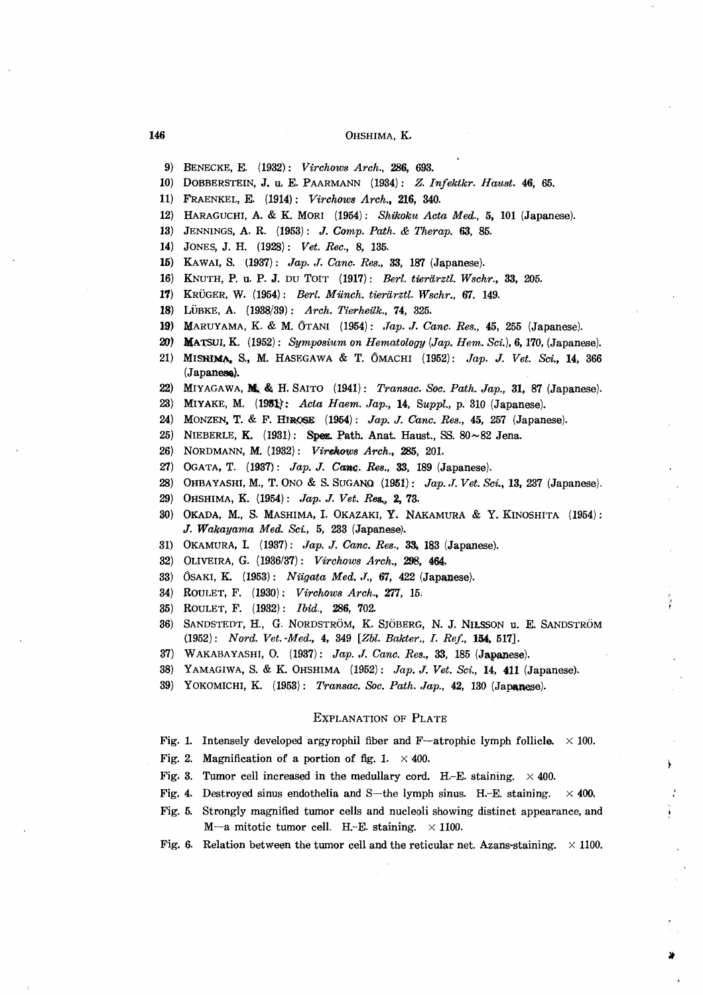### 146 OHSHIMA, K.

- 9) BENECKE, E. (1932): *Virchow8 Arch.,* 286, 693.
- 10) DOBBERSTEIN, J. u. E. PAARMANN (1934): *Z. Infektkr. Haust.* 46, 65.
- 11) FRAENKEL, E. (1914): *Virchow8 Arch.,* 216, 340.
- 12) HARAGUCHI, A. & K. MORI (1954): *Shikoku Acta Med.,* 5, 101 (Japanese).
- 13) JENNINGS, A. R. (1953): *.l. Compo Path.* & *Therap.* 63, 85.
- 14) JONES, J. H. (1928): *Vet. Rec.,* 8, 135.
- 15) KAWAI, S. (1937): *Jap. J. Canc. Res.*, 33, 187 (Japanese).
- 16) KNUTH, P. u. P. J. DU TOIT (1917): *Berl. tierarztl. Wschr.,* 33, 205.
- 1'1) KRUGER, w. (1954): *Bert. Murich. tierarztl. Wschr.,* 67. 149.
- IS} LUBKE, A. (1938/39): *Arch. Tierheilk.,* 74, 325.
- 19) MARUYAMA, K. & M. 6TANI (1954): *.Tap .* .I. *Cane. Res.,* 45, 255 (Japanese).
- 20) **MATSUI, K.** (1952): *Symposium on Hematology (Jap. Hem. Sci.)*, 6, 170, (Japanese).
- 21) MISHIMA, S., M. HASEGAWA & T. ÔMACHI (1952): *Jap. J. Vet. Sci.*, 14, 366  $(Japanes).$
- 22) MIYAGAWA, M. & H. SAITO (1941): *Transac. Soc. Path. Jap.*, 31, 87 (Japanese).
- 23) MIYAKE, M. (1951): *Acta Haem. Jap.*, 14, *Suppl.*, p. 310 (Japanese).
- 24) MONZEN, T. & F. HIROSE (1954): *Jap. J. Canc. Res.*, 45, 257 (Japanese).
- 25) NIEBERLE, K.  $(1931)$ : Spez. Path. Anat. Haust., SS. 80 $\sim$ 82 Jena.
- 26) NORDMANN, M. (1932): *Virenows Arch.,* 285, 201.
- 27) OGATA, T. (1937): *Jap. J. Canc. Res.*, 33, 189 (Japanese).
- 28) OHBAYASHI, M., T. ONO & S. SUGANQ (1951): *Jap. J. Vet. Sci.*, 13, 237 (Japanese).
- 29) OHSHIMA, K. (1954): *Jap. J. Vet. Res.*, 2, 73.
- 30) OKADA, M., S. MASHIMA, I. OKAZAKI, Y. NAKAMURA & Y. KINOSHITA (1954): J. *Wakayama Med. Sci.,* 5, 233 (Japanese).
- 31) OKAMURA, I. (1937): *Jap. J. Canc. Res.*, 33, 183 (Japanese).
- 82) OLIVEIRA, G. (1936/37): *Virehow8 Arch.,* 298, 464 ..
- 33) ÔSAKI, K. (1953): *Niigata Med. J.*, 67, 422 (Japanese).
- 34) ROULET, F. (1930): *Virchow8 Arch.,* Z77, 15:
- 35) ROULET, F. (1982): *Ibid.,* 286, 702.
- 86) SANDSTEDT, H., G. NORDSTROM, K. SJOBERG, N. J. NILSSON u. E. SANDSTROM (1952): *Nord. Vet. Med.,* 4, 349 [*Zbl. Bakter., I. Ref.,* 154, 517].
- 37) WAKABAYASHI, O. (1937): *Jap. J. Canc. Res.*, 33, 185 (Japanese).
- 38) YAMAGIWA, S. & K. OHSHIMA (1952): *Jap. J. Vet. Sci.*, 14, 411 (Japanese).
- 39) YOKOMICHI, K. (1953): *Transac. Soc. Path. Jap.,* 42, 130 (Japanese).

#### EXPLANATION OF PLATE

Fig. 1. Intensely developed argyrophil fiber and F-atrophic lymph follicle.  $\times$  100.

- Fig. 2. Magnification of a portion of fig. 1.  $\times$  400.
- Fig. 3. Tumor cell increased in the medullary cord. H.-E. staining.  $\times$  400.
- Fig. 4. Destroyed sinus endothelia and S-the lymph sinus. H.-E. staining.  $\times$  400.
- Fig, 5. Strongly magnified tumor cells and nucleoli showing distinct appearance, and M-a mitotic tumor cell. H.-E. staining.  $\times$  1100.
- Fig. 6. Relation between the tumor cell and the reticular net. Azans-staining.  $\times$  1100.